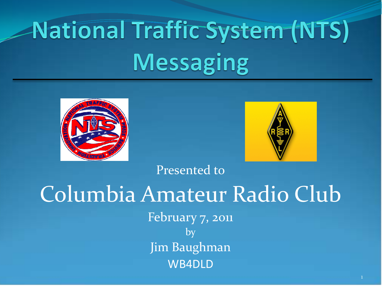# **National Traffic System (NTS) Messaging**





Presented to

### Columbia Amateur Radio Club February 7, 2011 by Jim Baughman WB4DLD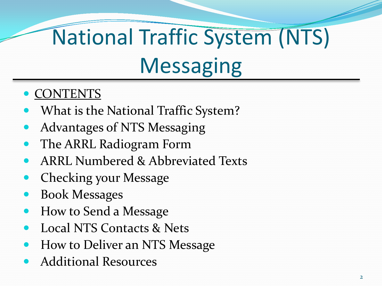# National Traffic System (NTS) **Messaging**

- CONTENTS
- What is the National Traffic System?
- Advantages of NTS Messaging
- The ARRL Radiogram Form
- ARRL Numbered & Abbreviated Texts
- Checking your Message
- Book Messages
- How to Send a Message
- Local NTS Contacts & Nets
- How to Deliver an NTS Message
- Additional Resources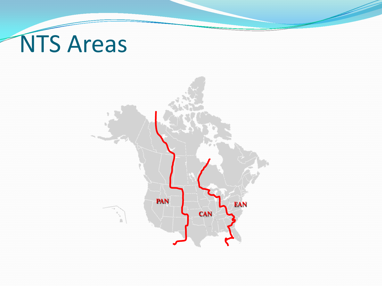# NTS Areas

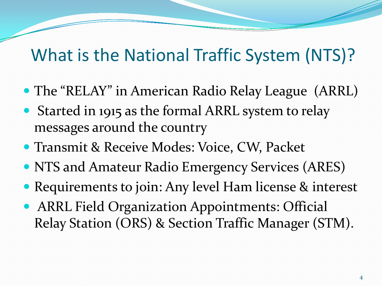### What is the National Traffic System (NTS)?

- The "RELAY" in American Radio Relay League (ARRL)
- Started in 1915 as the formal ARRL system to relay messages around the country
- **Transmit & Receive Modes: Voice, CW, Packet**
- NTS and Amateur Radio Emergency Services (ARES)
- Requirements to join: Any level Ham license & interest
- **ARRL Field Organization Appointments: Official** Relay Station (ORS) & Section Traffic Manager (STM).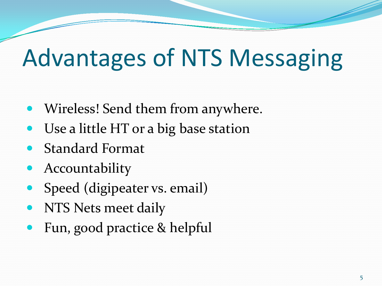# Advantages of NTS Messaging

- Wireless! Send them from anywhere.
- Use a little HT or a big base station
- Standard Format
- Accountability
- Speed (digipeater vs. email)
- NTS Nets meet daily
- Fun, good practice & helpful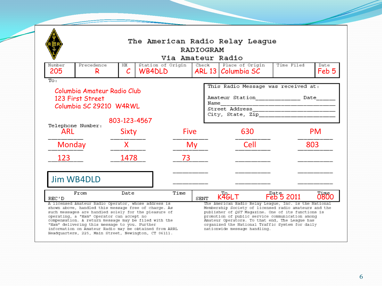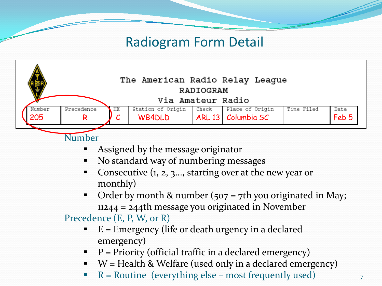

- Assigned by the message originator
- No standard way of numbering messages
- Consecutive (1, 2, 3..., starting over at the new year or monthly)
- Order by month & number  $(507 = 7$ th you originated in May; 11244 = 244th message you originated in November

Precedence (E, P, W, or R)

- E = Emergency (life or death urgency in a declared emergency)
- $\blacksquare$  P = Priority (official traffic in a declared emergency)
- $W =$  Health & Welfare (used only in a declared emergency)
- $R =$  Routine (everything else most frequently used)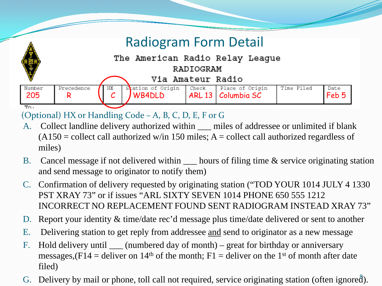| The American Radio Relay League<br>RADIOGRAM |         |                                     |  |                                         |            |               |  |
|----------------------------------------------|---------|-------------------------------------|--|-----------------------------------------|------------|---------------|--|
|                                              |         | Via Amateur Radio                   |  |                                         |            |               |  |
| Number<br>Precedence<br>205                  | HХ<br>ັ | Station of Origin   Check<br>WB4DLD |  | Place of Origin<br>ARL 13   Columbia SC | Time Filed | Date<br>Feb 5 |  |

(Optional) HX or Handling Code – A, B, C, D, E, F or G

Λ

- A. Collect landline delivery authorized within <u>unities</u> of addressee or unlimited if blank  $(A150 = \text{collect call authorized w/in } 150 \text{ miles}; A = \text{collect call authorized regards of } 150 \text{ miles}$ miles)
- B. Cancel message if not delivered within <u>each bours</u> of filing time & service originating station and send message to originator to notify them)
- C. Confirmation of delivery requested by originating station ("TOD YOUR 1014 JULY 4 1330 PST XRAY 73" or if issues "ARL SIXTY SEVEN 1014 PHONE 650 555 1212 INCORRECT NO REPLACEMENT FOUND SENT RADIOGRAM INSTEAD XRAY 73"
- D. Report your identity & time/date rec'd message plus time/date delivered or sent to another
- E. Delivering station to get reply from addressee and send to originator as a new message
- F. Hold delivery until \_\_\_\_ (numbered day of month) great for birthday or anniversary messages,  $(F14 =$  deliver on 14<sup>th</sup> of the month; F1 = deliver on the 1<sup>st</sup> of month after date filed)
- G. Delivery by mail or phone, toll call not required, service originating station (often ignored).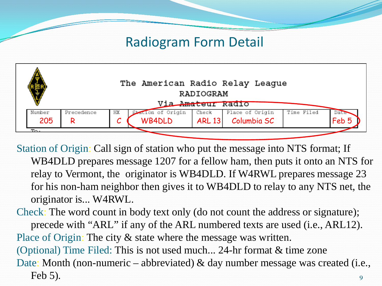| The American Radio Relay League<br>RADIOGRAM<br>Via Amateur Radio |            |    |                   |               |                 |            |       |  |
|-------------------------------------------------------------------|------------|----|-------------------|---------------|-----------------|------------|-------|--|
| Number                                                            | Precedence | НX | Station of Origin | Check         | Place of Origin | Time Filed | Date  |  |
| 205                                                               |            |    | <b>WB4DLD</b>     | <b>ARL 13</b> | Columbia SC     |            | Feb 5 |  |

Station of Origin: Call sign of station who put the message into NTS format; If WB4DLD prepares message 1207 for a fellow ham, then puts it onto an NTS for relay to Vermont, the originator is WB4DLD. If W4RWL prepares message 23 for his non-ham neighbor then gives it to WB4DLD to relay to any NTS net, the originator is... W4RWL.

Check: The word count in body text only (do not count the address or signature); precede with "ARL" if any of the ARL numbered texts are used (i.e., ARL12). Place of Origin: The city & state where the message was written. (Optional) Time Filed: This is not used much... 24-hr format & time zone Date: Month (non-numeric – abbreviated) & day number message was created (i.e., Feb 5). 9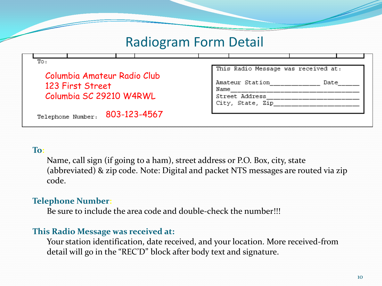| Columbia Amateur Radio Club                 | This Radio Message was received at:                                   |
|---------------------------------------------|-----------------------------------------------------------------------|
| 123 First Street<br>Columbia SC 29210 W4RWL | Amateur Station<br>Date<br>Name<br>Street Address<br>City, State, Zip |
| 803-123-4567<br>Telephone Number:           |                                                                       |

#### **To:**

Name, call sign (if going to a ham), street address or P.O. Box, city, state (abbreviated) & zip code. Note: Digital and packet NTS messages are routed via zip code.

#### **Telephone Number:**

Be sure to include the area code and double-check the number!!!

#### **This Radio Message was received at:**

Your station identification, date received, and your location. More received-from detail will go in the "REC'D" block after body text and signature.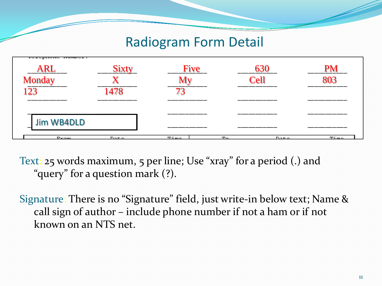| rerebrone nameer:<br>23 | ____      |            | Cell                   |       |
|-------------------------|-----------|------------|------------------------|-------|
| Jim WB4DLD              |           | ___        |                        |       |
|                         |           | _____      |                        | _____ |
| <b>Danma</b>            | $D - F -$ | $T\dot{m}$ | <u>тъ</u><br>$D - F -$ | T/m   |

Text: 25 words maximum, 5 per line; Use "xray" for a period (.) and "query" for a question mark (?).

Signature: There is no "Signature" field, just write-in below text; Name & call sign of author – include phone number if not a ham or if not known on an NTS net.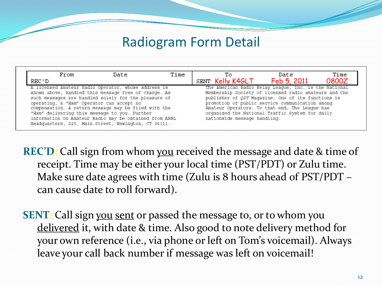| From                                                                                                   | Date | Time | Тο                                                    | Date        | Time  |  |
|--------------------------------------------------------------------------------------------------------|------|------|-------------------------------------------------------|-------------|-------|--|
| REC ' D                                                                                                |      |      | SENT Kelly K4GLT                                      | Feb 5, 2011 | 0800Z |  |
| A licensed Amateur Radio Operator, whose address is                                                    |      |      | The American Radio Relay League, Inc. is the National |             |       |  |
| shown above, handled this message free of charge. As                                                   |      |      | Membership Society of licensed radio amateurs and the |             |       |  |
| such messages are handled solely for the pleasure of                                                   |      |      | publisher of QST Magazine. One of its functions is    |             |       |  |
| operating, a "Ham" Operator can accept no                                                              |      |      | promotion of public service communication among       |             |       |  |
| compensation. A return message may be filed with the<br>Amateur Operators. To that end, The League has |      |      |                                                       |             |       |  |
| organized the National Traffic System for daily<br>"Ham" delivering this message to you. Purther       |      |      |                                                       |             |       |  |
| information on Amateur Radio may be obtained from ARRL                                                 |      |      | nationwide message handling.                          |             |       |  |
| Headquarters, 225, Main Street, Newington, CT 06111.                                                   |      |      |                                                       |             |       |  |

**REC'D:** Call sign from whom you received the message and date & time of receipt. Time may be either your local time (PST/PDT) or Zulu time. Make sure date agrees with time (Zulu is 8 hours ahead of PST/PDT – can cause date to roll forward).

**SENT:** Call sign you sent or passed the message to, or to whom you delivered it, with date & time. Also good to note delivery method for your own reference (i.e., via phone or left on Tom's voicemail). Always leave your call back number if message was left on voicemail!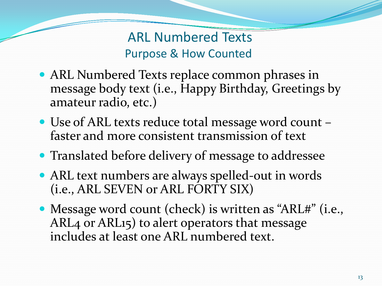ARL Numbered Texts Purpose & How Counted

- ARL Numbered Texts replace common phrases in message body text (i.e., Happy Birthday, Greetings by amateur radio, etc.)
- Use of ARL texts reduce total message word count faster and more consistent transmission of text
- **Translated before delivery of message to addressee**
- ARL text numbers are always spelled-out in words (i.e., ARL SEVEN or ARL FORTY SIX)
- Message word count (check) is written as "ARL#" (i.e., ARL4 or ARL15) to alert operators that message includes at least one ARL numbered text.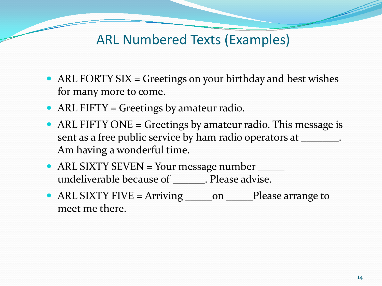#### ARL Numbered Texts (Examples)

- ARL FORTY SIX = Greetings on your birthday and best wishes for many more to come.
- ARL FIFTY = Greetings by amateur radio.
- ARL FIFTY ONE = Greetings by amateur radio. This message is sent as a free public service by ham radio operators at \_\_\_\_\_\_\_\_. Am having a wonderful time.
- ARL SIXTY SEVEN = Your message number \_\_\_\_\_\_ undeliverable because of \_\_\_\_\_\_. Please advise.
- ARL SIXTY FIVE = Arriving \_\_\_\_\_\_\_on \_\_\_\_\_Please arrange to meet me there.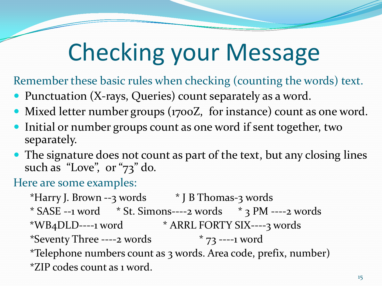# Checking your Message

Remember these basic rules when checking (counting the words) text.

- Punctuation (X-rays, Queries) count separately as a word.
- Mixed letter number groups (1700Z, for instance) count as one word.
- Initial or number groups count as one word if sent together, two separately.
- The signature does not count as part of the text, but any closing lines such as "Love", or "73" do.

Here are some examples:

\*Harry J. Brown --3 words  $*$  J B Thomas-3 words  $*$  SASE --1 word  $*$  St. Simons----2 words  $*$  3 PM ----2 words \*WB4DLD----1 word \* ARRL FORTY SIX----3 words \*Seventy Three ----2 words  $*$   $73$  ----1 word \*Telephone numbers count as 3 words. Area code, prefix, number) \*ZIP codes count as 1 word.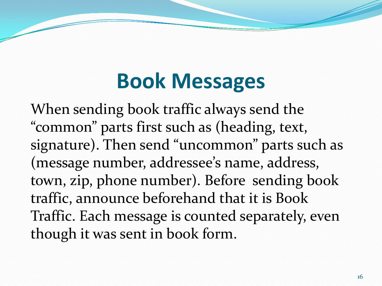### **Book Messages**

When sending book traffic always send the "common" parts first such as (heading, text, signature). Then send "uncommon" parts such as (message number, addressee's name, address, town, zip, phone number). Before sending book traffic, announce beforehand that it is Book Traffic. Each message is counted separately, even though it was sent in book form.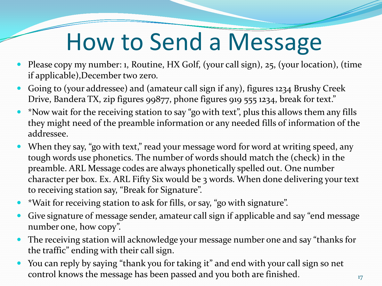# How to Send a Message

- Please copy my number: 1, Routine, HX Golf, (your call sign), 25, (your location), (time if applicable),December two zero.
- Going to (your addressee) and (amateur call sign if any), figures 1234 Brushy Creek Drive, Bandera TX, zip figures 99877, phone figures 919 555 1234, break for text."
- \*Now wait for the receiving station to say "go with text", plus this allows them any fills they might need of the preamble information or any needed fills of information of the addressee.
- When they say, "go with text," read your message word for word at writing speed, any tough words use phonetics. The number of words should match the (check) in the preamble. ARL Message codes are always phonetically spelled out. One number character per box. Ex. ARL Fifty Six would be 3 words. When done delivering your text to receiving station say, "Break for Signature".
- \*Wait for receiving station to ask for fills, or say, "go with signature".
- Give signature of message sender, amateur call sign if applicable and say "end message number one, how copy".
- The receiving station will acknowledge your message number one and say "thanks for the traffic" ending with their call sign.
- You can reply by saying "thank you for taking it" and end with your call sign so net control knows the message has been passed and you both are finished.  $17$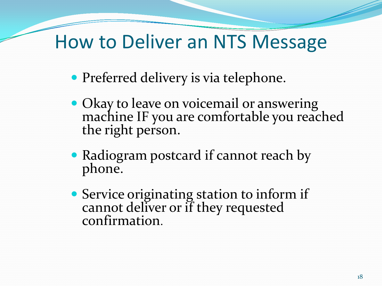### How to Deliver an NTS Message

- Preferred delivery is via telephone.
- Okay to leave on voicemail or answering machine IF you are comfortable you reached the right person.
- Radiogram postcard if cannot reach by phone.
- Service originating station to inform if cannot deliver or if they requested confirmation.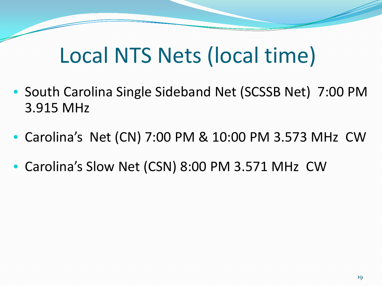### Local NTS Nets (local time)

- South Carolina Single Sideband Net (SCSSB Net) 7:00 PM 3.915 MHz
- Carolina's Net (CN) 7:00 PM & 10:00 PM 3.573 MHz CW
- Carolina's Slow Net (CSN) 8:00 PM 3.571 MHz CW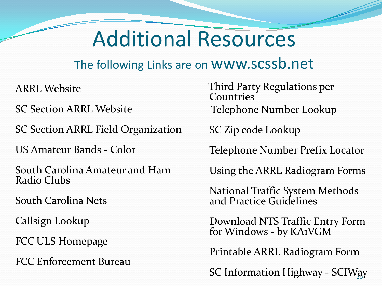### Additional Resources

#### The following Links are on www.scssb.net

ARRL Website

SC Section ARRL Website

SC Section ARRL Field Organization

US Amateur Bands - Color

South Carolina Amateur and Ham Radio Clubs

South Carolina Nets

Callsign Lookup

FCC ULS Homepage

FCC Enforcement Bureau

 Third Party Regulations per Countries Telephone Number Lookup

SC Zip code Lookup

Telephone Number Prefix Locator

Using the ARRL Radiogram Forms

National Traffic System Methods and Practice Guidelines

Download NTS Traffic Entry Form for Windows - by KA1VGM

Printable ARRL Radiogram Form

SC Information Highway - SCIWay